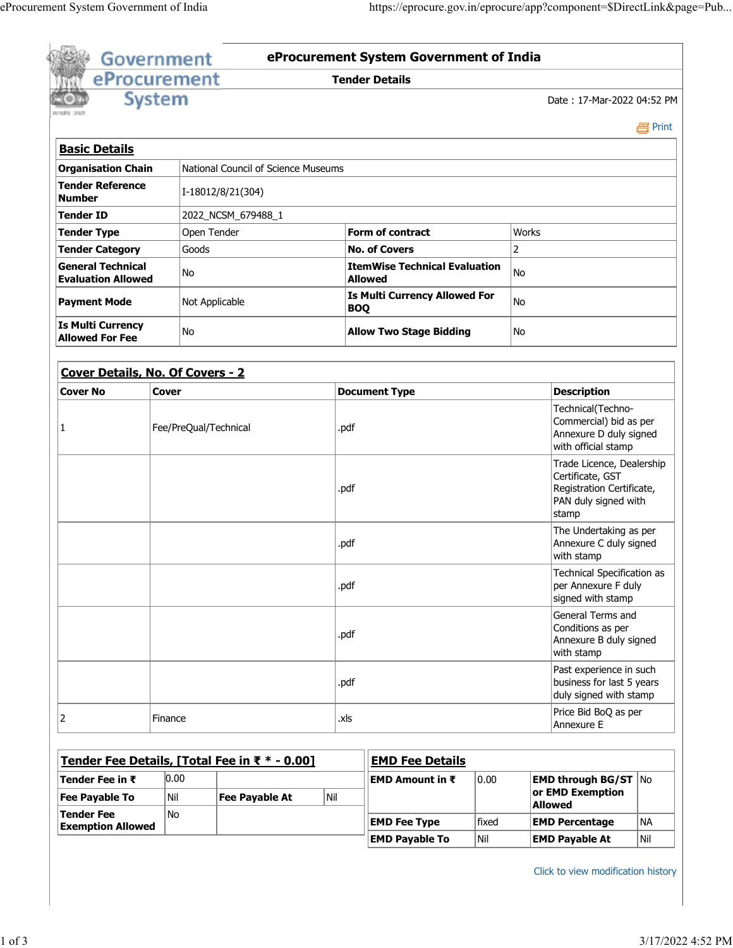|                                                                  | <b>Government</b> |                       |                                               |            | eProcurement System Government of India               |                                                                                                             |                                                                                |           |  |
|------------------------------------------------------------------|-------------------|-----------------------|-----------------------------------------------|------------|-------------------------------------------------------|-------------------------------------------------------------------------------------------------------------|--------------------------------------------------------------------------------|-----------|--|
|                                                                  | eProcurement      |                       |                                               |            | <b>Tender Details</b>                                 |                                                                                                             |                                                                                |           |  |
|                                                                  | <b>System</b>     |                       |                                               |            |                                                       |                                                                                                             | Date: 17-Mar-2022 04:52 PM                                                     |           |  |
|                                                                  |                   |                       |                                               |            |                                                       |                                                                                                             |                                                                                | e Print   |  |
| <b>Basic Details</b>                                             |                   |                       |                                               |            |                                                       |                                                                                                             |                                                                                |           |  |
| National Council of Science Museums<br><b>Organisation Chain</b> |                   |                       |                                               |            |                                                       |                                                                                                             |                                                                                |           |  |
| <b>Tender Reference</b><br><b>Number</b>                         |                   |                       | I-18012/8/21(304)                             |            |                                                       |                                                                                                             |                                                                                |           |  |
| Tender ID                                                        |                   |                       | 2022_NCSM_679488_1                            |            |                                                       |                                                                                                             |                                                                                |           |  |
| <b>Tender Type</b>                                               |                   | Open Tender           |                                               |            | <b>Form of contract</b>                               | Works                                                                                                       |                                                                                |           |  |
| <b>Tender Category</b>                                           |                   | Goods                 |                                               |            | <b>No. of Covers</b>                                  |                                                                                                             | $\overline{2}$                                                                 |           |  |
| <b>General Technical</b><br><b>Evaluation Allowed</b>            |                   | No                    |                                               |            | <b>ItemWise Technical Evaluation</b><br>No<br>Allowed |                                                                                                             |                                                                                |           |  |
| <b>Payment Mode</b>                                              |                   | Not Applicable        |                                               | <b>BOQ</b> | <b>Is Multi Currency Allowed For</b>                  | <b>No</b>                                                                                                   |                                                                                |           |  |
| <b>Is Multi Currency</b><br><b>Allowed For Fee</b>               |                   | No                    |                                               |            | <b>Allow Two Stage Bidding</b><br>No                  |                                                                                                             |                                                                                |           |  |
| Cover Details, No. Of Covers - 2                                 |                   |                       |                                               |            |                                                       |                                                                                                             |                                                                                |           |  |
| <b>Cover No</b>                                                  | <b>Cover</b>      |                       |                                               |            | <b>Document Type</b>                                  |                                                                                                             | <b>Description</b>                                                             |           |  |
| 1                                                                |                   | Fee/PreQual/Technical |                                               |            |                                                       | Technical(Techno-<br>Commercial) bid as per<br>Annexure D duly signed<br>with official stamp                |                                                                                |           |  |
|                                                                  |                   |                       |                                               |            |                                                       | Trade Licence, Dealership<br>Certificate, GST<br>Registration Certificate,<br>PAN duly signed with<br>stamp |                                                                                |           |  |
|                                                                  |                   |                       |                                               |            |                                                       | The Undertaking as per<br>Annexure C duly signed<br>with stamp                                              |                                                                                |           |  |
|                                                                  |                   |                       |                                               |            |                                                       | Technical Specification as<br>per Annexure F duly<br>signed with stamp                                      |                                                                                |           |  |
|                                                                  |                   |                       |                                               | .pdf       |                                                       |                                                                                                             | General Terms and<br>Conditions as per<br>Annexure B duly signed<br>with stamp |           |  |
|                                                                  |                   |                       |                                               | .pdf       |                                                       |                                                                                                             | Past experience in such<br>business for last 5 years<br>duly signed with stamp |           |  |
|                                                                  |                   |                       |                                               |            |                                                       |                                                                                                             |                                                                                |           |  |
| 2                                                                | Finance           |                       |                                               | .xls       |                                                       |                                                                                                             | Price Bid BoQ as per<br>Annexure E                                             |           |  |
|                                                                  |                   |                       | Tender Fee Details, [Total Fee in ₹ * - 0.00] |            | <b>EMD Fee Details</b>                                |                                                                                                             |                                                                                |           |  |
| Tender Fee in $\bar{\tau}$                                       | 0.00              |                       |                                               |            | <b>EMD Amount in ₹</b>                                | 0.00                                                                                                        | <b>EMD through BG/ST <math> No</math></b>                                      |           |  |
| <b>Fee Payable To</b>                                            | Nil               |                       | <b>Fee Payable At</b>                         | Nil        |                                                       |                                                                                                             | or EMD Exemption                                                               |           |  |
| <b>Tender Fee</b><br><b>Exemption Allowed</b>                    | No                |                       |                                               |            | <b>EMD Fee Type</b>                                   | fixed                                                                                                       | <b>Allowed</b><br><b>EMD Percentage</b>                                        | <b>NA</b> |  |

Click to view modification history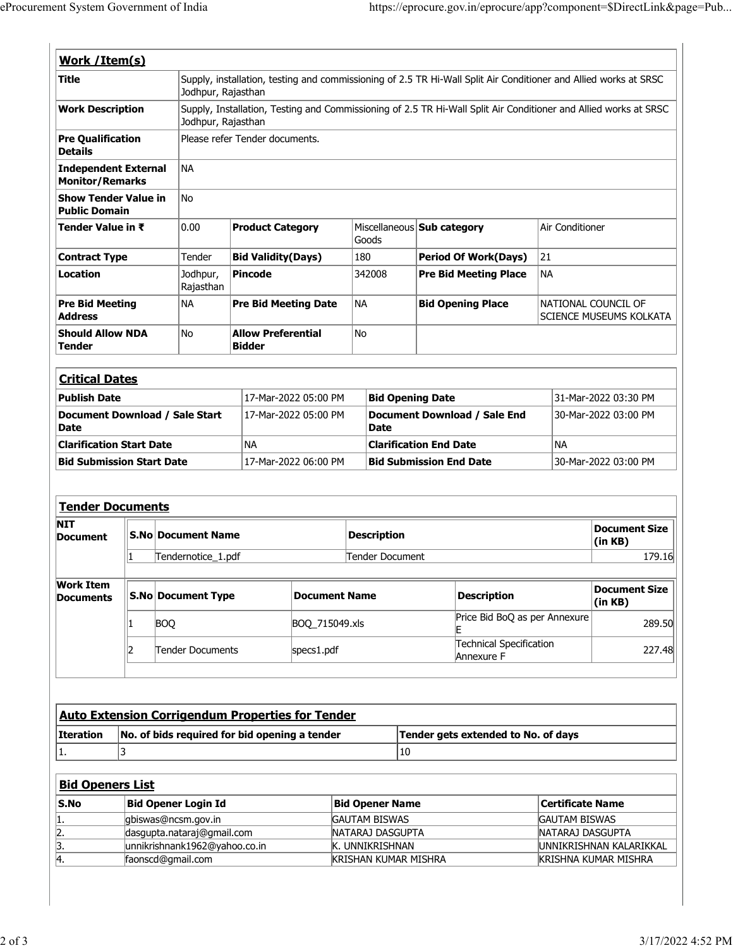| Work / Item(s)                                                                                                                                                    |                                                                                                                                        |                                                             |                                |                             |                                     |                                                        |                         |                                                |  |  |
|-------------------------------------------------------------------------------------------------------------------------------------------------------------------|----------------------------------------------------------------------------------------------------------------------------------------|-------------------------------------------------------------|--------------------------------|-----------------------------|-------------------------------------|--------------------------------------------------------|-------------------------|------------------------------------------------|--|--|
| <b>Title</b>                                                                                                                                                      | Supply, installation, testing and commissioning of 2.5 TR Hi-Wall Split Air Conditioner and Allied works at SRSC<br>Jodhpur, Rajasthan |                                                             |                                |                             |                                     |                                                        |                         |                                                |  |  |
| <b>Work Description</b><br>Supply, Installation, Testing and Commissioning of 2.5 TR Hi-Wall Split Air Conditioner and Allied works at SRSC<br>Jodhpur, Rajasthan |                                                                                                                                        |                                                             |                                |                             |                                     |                                                        |                         |                                                |  |  |
| <b>Pre Qualification</b><br><b>Details</b>                                                                                                                        |                                                                                                                                        |                                                             | Please refer Tender documents. |                             |                                     |                                                        |                         |                                                |  |  |
| <b>Independent External</b><br><b>Monitor/Remarks</b>                                                                                                             |                                                                                                                                        | <b>NA</b>                                                   |                                |                             |                                     |                                                        |                         |                                                |  |  |
| <b>Show Tender Value in</b><br><b>Public Domain</b>                                                                                                               |                                                                                                                                        | <b>No</b>                                                   |                                |                             |                                     |                                                        |                         |                                                |  |  |
| Tender Value in ₹                                                                                                                                                 |                                                                                                                                        | 0.00                                                        | <b>Product Category</b>        |                             | Goods                               | Miscellaneous Sub category                             | Air Conditioner         |                                                |  |  |
| <b>Contract Type</b>                                                                                                                                              |                                                                                                                                        | Tender                                                      | <b>Bid Validity(Days)</b>      |                             | 180                                 | <b>Period Of Work(Days)</b>                            | 21                      |                                                |  |  |
| <b>Location</b>                                                                                                                                                   |                                                                                                                                        | Jodhpur,<br>Rajasthan                                       | <b>Pincode</b>                 |                             | 342008                              | <b>Pre Bid Meeting Place</b>                           | <b>NA</b>               |                                                |  |  |
| <b>Pre Bid Meeting</b><br><b>Address</b>                                                                                                                          |                                                                                                                                        | <b>NA</b>                                                   |                                | <b>Pre Bid Meeting Date</b> |                                     | <b>Bid Opening Place</b>                               |                         | NATIONAL COUNCIL OF<br>SCIENCE MUSEUMS KOLKATA |  |  |
| <b>Should Allow NDA</b><br><b>Tender</b>                                                                                                                          |                                                                                                                                        | No                                                          | <b>Bidder</b>                  | <b>Allow Preferential</b>   |                                     |                                                        |                         |                                                |  |  |
| <b>Critical Dates</b>                                                                                                                                             |                                                                                                                                        |                                                             |                                |                             |                                     |                                                        |                         |                                                |  |  |
| <b>Publish Date</b>                                                                                                                                               |                                                                                                                                        |                                                             | 17-Mar-2022 05:00 PM           |                             |                                     | <b>Bid Opening Date</b>                                |                         | 31-Mar-2022 03:30 PM                           |  |  |
| Document Download / Sale Start<br><b>Date</b>                                                                                                                     |                                                                                                                                        |                                                             | 17-Mar-2022 05:00 PM           |                             | <b>Date</b>                         | Document Download / Sale End                           |                         | 30-Mar-2022 03:00 PM                           |  |  |
| <b>Clarification Start Date</b>                                                                                                                                   |                                                                                                                                        |                                                             | ΝA                             |                             | <b>Clarification End Date</b>       |                                                        | <b>NA</b>               |                                                |  |  |
| <b>Bid Submission Start Date</b>                                                                                                                                  |                                                                                                                                        |                                                             | 17-Mar-2022 06:00 PM           |                             |                                     | 30-Mar-2022 03:00 PM<br><b>Bid Submission End Date</b> |                         |                                                |  |  |
| <b>Tender Documents</b>                                                                                                                                           |                                                                                                                                        |                                                             |                                |                             |                                     |                                                        |                         |                                                |  |  |
| NIT<br>Document                                                                                                                                                   |                                                                                                                                        | <b>S.No Document Name</b>                                   |                                |                             | <b>Description</b>                  |                                                        |                         | <b>Document Size</b><br>(in KB)                |  |  |
|                                                                                                                                                                   | 1                                                                                                                                      | Tendernotice_1.pdf                                          |                                |                             | Tender Document                     |                                                        |                         | 179.16                                         |  |  |
| <b>Work Item</b>                                                                                                                                                  |                                                                                                                                        |                                                             |                                |                             |                                     |                                                        |                         |                                                |  |  |
|                                                                                                                                                                   |                                                                                                                                        | <b>S.No Document Type</b>                                   |                                | <b>Document Name</b>        |                                     | <b>Description</b>                                     |                         | <b>Document Size</b><br>(in KB)                |  |  |
|                                                                                                                                                                   | 11                                                                                                                                     | <b>BOQ</b>                                                  |                                | BOQ_715049.xls              |                                     | Price Bid BoQ as per Annexure                          |                         |                                                |  |  |
|                                                                                                                                                                   | 2                                                                                                                                      | Tender Documents                                            |                                | specs1.pdf                  |                                     | <b>Technical Specification</b><br>Annexure F           |                         | 289.50<br>227.48                               |  |  |
| <b>Documents</b>                                                                                                                                                  |                                                                                                                                        |                                                             |                                |                             |                                     |                                                        |                         |                                                |  |  |
|                                                                                                                                                                   |                                                                                                                                        | <b>Auto Extension Corrigendum Properties for Tender</b>     |                                |                             |                                     |                                                        |                         |                                                |  |  |
|                                                                                                                                                                   |                                                                                                                                        | No. of bids required for bid opening a tender               |                                |                             |                                     | Tender gets extended to No. of days                    |                         |                                                |  |  |
| 3                                                                                                                                                                 |                                                                                                                                        |                                                             |                                |                             | 10                                  |                                                        |                         |                                                |  |  |
| <b>Bid Openers List</b>                                                                                                                                           |                                                                                                                                        |                                                             |                                |                             |                                     |                                                        |                         |                                                |  |  |
| <b>Iteration</b><br>1.<br>S.No                                                                                                                                    |                                                                                                                                        | <b>Bid Opener Login Id</b>                                  |                                |                             | <b>Bid Opener Name</b>              |                                                        | <b>Certificate Name</b> |                                                |  |  |
|                                                                                                                                                                   |                                                                                                                                        | gbiswas@ncsm.gov.in                                         |                                |                             | <b>GAUTAM BISWAS</b>                |                                                        | <b>GAUTAM BISWAS</b>    |                                                |  |  |
| 1.<br>2.<br>3.                                                                                                                                                    |                                                                                                                                        | dasgupta.nataraj@gmail.com<br>unnikrishnank1962@yahoo.co.in |                                |                             | NATARAJ DASGUPTA<br>k. Unnikrishnan |                                                        | NATARAJ DASGUPTA        | UNNIKRISHNAN KALARIKKAL                        |  |  |